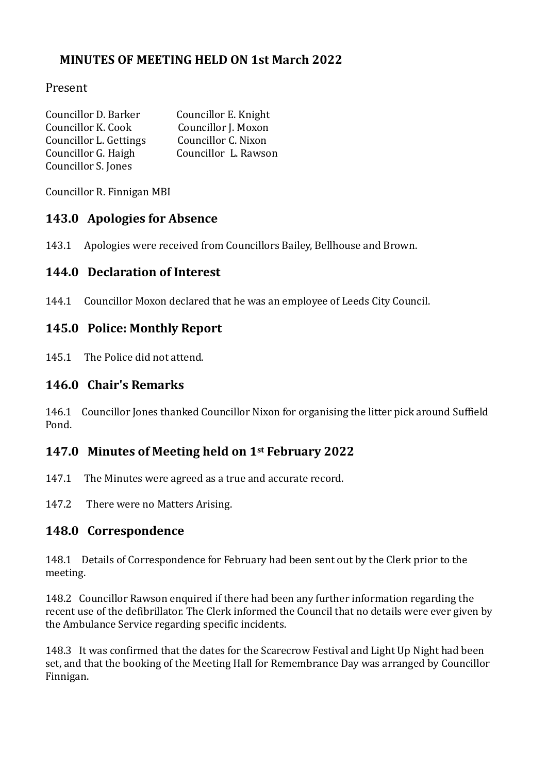## **MINUTES OF MEETING HELD ON 1st March 2022**

## Present

| Councillor D. Barker   | Councillor E. Knight |
|------------------------|----------------------|
| Councillor K. Cook     | Councillor J. Moxon  |
| Councillor L. Gettings | Councillor C. Nixon  |
| Councillor G. Haigh    | Councillor L. Rawson |
| Councillor S. Jones    |                      |

Councillor R. Finnigan MBI

## **143.0 Apologies for Absence**

143.1 Apologies were received from Councillors Bailey, Bellhouse and Brown.

## **144.0 Declaration of Interest**

144.1 Councillor Moxon declared that he was an employee of Leeds City Council.

## **145.0 Police: Monthly Report**

145.1 The Police did not attend.

#### **146.0 Chair's Remarks**

146.1 Councillor Jones thanked Councillor Nixon for organising the litter pick around Suffield Pond.

## **147.0 Minutes of Meeting held on 1st February 2022**

147.1 The Minutes were agreed as a true and accurate record.

147.2 There were no Matters Arising.

## **148.0 Correspondence**

148.1 Details of Correspondence for February had been sent out by the Clerk prior to the meeting.

148.2 Councillor Rawson enquired if there had been any further information regarding the recent use of the defibrillator. The Clerk informed the Council that no details were ever given by the Ambulance Service regarding specific incidents.

148.3 It was confirmed that the dates for the Scarecrow Festival and Light Up Night had been set, and that the booking of the Meeting Hall for Remembrance Day was arranged by Councillor Finnigan.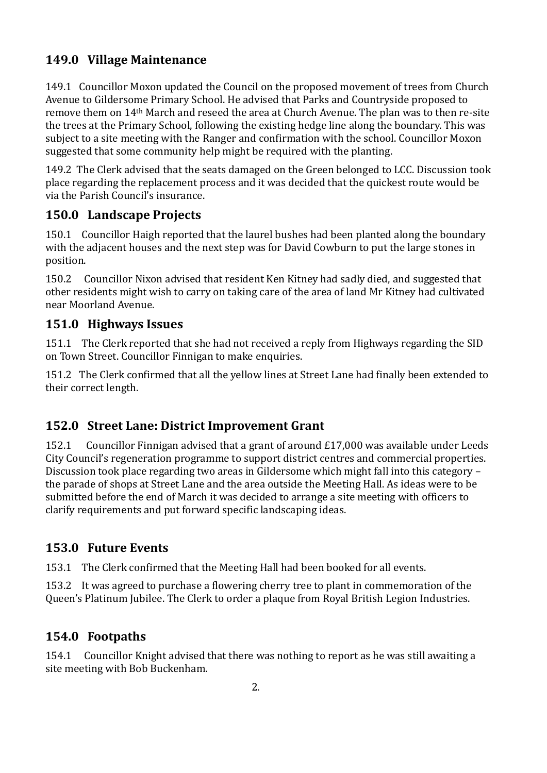# **149.0 Village Maintenance**

149.1 Councillor Moxon updated the Council on the proposed movement of trees from Church Avenue to Gildersome Primary School. He advised that Parks and Countryside proposed to remove them on 14th March and reseed the area at Church Avenue. The plan was to then re-site the trees at the Primary School, following the existing hedge line along the boundary. This was subject to a site meeting with the Ranger and confirmation with the school. Councillor Moxon suggested that some community help might be required with the planting.

149.2 The Clerk advised that the seats damaged on the Green belonged to LCC. Discussion took place regarding the replacement process and it was decided that the quickest route would be via the Parish Council's insurance.

## **150.0 Landscape Projects**

150.1 Councillor Haigh reported that the laurel bushes had been planted along the boundary with the adjacent houses and the next step was for David Cowburn to put the large stones in position.

150.2 Councillor Nixon advised that resident Ken Kitney had sadly died, and suggested that other residents might wish to carry on taking care of the area of land Mr Kitney had cultivated near Moorland Avenue.

## **151.0 Highways Issues**

151.1 The Clerk reported that she had not received a reply from Highways regarding the SID on Town Street. Councillor Finnigan to make enquiries.

151.2 The Clerk confirmed that all the yellow lines at Street Lane had finally been extended to their correct length.

## **152.0 Street Lane: District Improvement Grant**

152.1 Councillor Finnigan advised that a grant of around £17,000 was available under Leeds City Council's regeneration programme to support district centres and commercial properties. Discussion took place regarding two areas in Gildersome which might fall into this category – the parade of shops at Street Lane and the area outside the Meeting Hall. As ideas were to be submitted before the end of March it was decided to arrange a site meeting with officers to clarify requirements and put forward specific landscaping ideas.

## **153.0 Future Events**

153.1 The Clerk confirmed that the Meeting Hall had been booked for all events.

153.2 It was agreed to purchase a flowering cherry tree to plant in commemoration of the Queen's Platinum Jubilee. The Clerk to order a plaque from Royal British Legion Industries.

## **154.0 Footpaths**

154.1 Councillor Knight advised that there was nothing to report as he was still awaiting a site meeting with Bob Buckenham.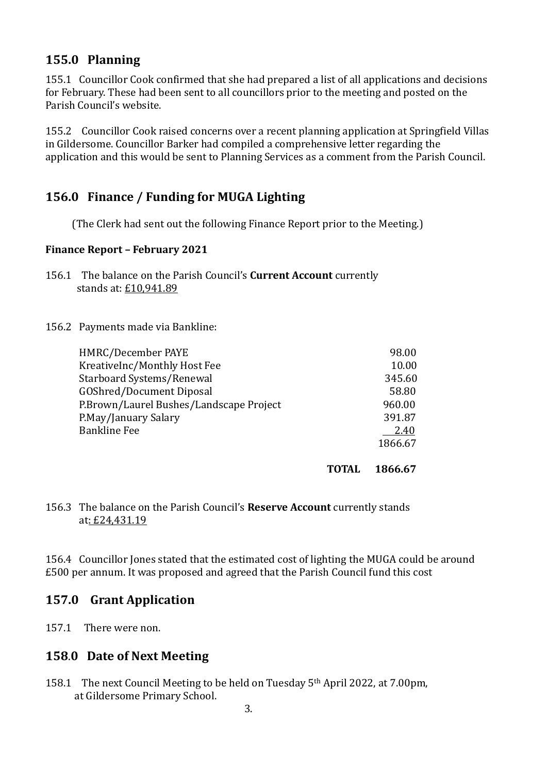## **155.0 Planning**

155.1 Councillor Cook confirmed that she had prepared a list of all applications and decisions for February. These had been sent to all councillors prior to the meeting and posted on the Parish Council's website.

155.2 Councillor Cook raised concerns over a recent planning application at Springfield Villas in Gildersome. Councillor Barker had compiled a comprehensive letter regarding the application and this would be sent to Planning Services as a comment from the Parish Council.

## **156.0 Finance / Funding for MUGA Lighting**

(The Clerk had sent out the following Finance Report prior to the Meeting.)

#### **Finance Report – February 2021**

156.1 The balance on the Parish Council's **Current Account** currently stands at: £10,941.89

#### 156.2 Payments made via Bankline:

| HMRC/December PAYE                      | 98.00   |
|-----------------------------------------|---------|
| KreativeInc/Monthly Host Fee            | 10.00   |
| Starboard Systems/Renewal               | 345.60  |
| <b>GOShred/Document Diposal</b>         | 58.80   |
| P.Brown/Laurel Bushes/Landscape Project | 960.00  |
| P.May/January Salary                    | 391.87  |
| <b>Bankline Fee</b>                     | 2.40    |
|                                         | 1866.67 |
|                                         |         |

**TOTAL 1866.67**

#### 156.3 The balance on the Parish Council's **Reserve Account** currently stands at: £24,431.19

156.4 Councillor Jones stated that the estimated cost of lighting the MUGA could be around £500 per annum. It was proposed and agreed that the Parish Council fund this cost

## **157.0 Grant Application**

157.1 There were non.

#### **158**.**0 Date of Next Meeting**

158.1 The next Council Meeting to be held on Tuesday 5th April 2022, at 7.00pm, at Gildersome Primary School.